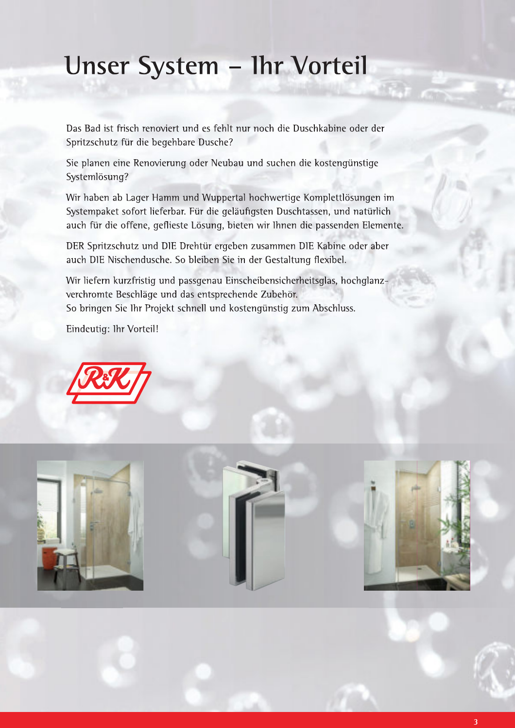# Unser System - Ihr Vorteil

Das Bad ist frisch renoviert und es fehlt nur noch die Duschkabine oder der Spritzschutz für die begehbare Dusche?

Sie planen eine Renovierung oder Neubau und suchen die kostengünstige Systemlösung?

Wir haben ab Lager Hamm und Wuppertal hochwertige Komplettlösungen im Systempaket sofort lieferbar. Für die geläufigsten Duschtassen, und natürlich auch für die offene, geflieste Lösung, bieten wir Ihnen die passenden Elemente.

DER Spritzschutz und DIE Drehtür ergeben zusammen DIE Kabine oder aber auch DIE Nischendusche. So bleiben Sie in der Gestaltung flexibel.

Wir liefern kurzfristig und passgenau Einscheibensicherheitsglas, hochglanzverchromte Beschläge und das entsprechende Zubehör. So bringen Sie Ihr Projekt schnell und kostengünstig zum Abschluss.

Eindeutig: Ihr Vorteil!



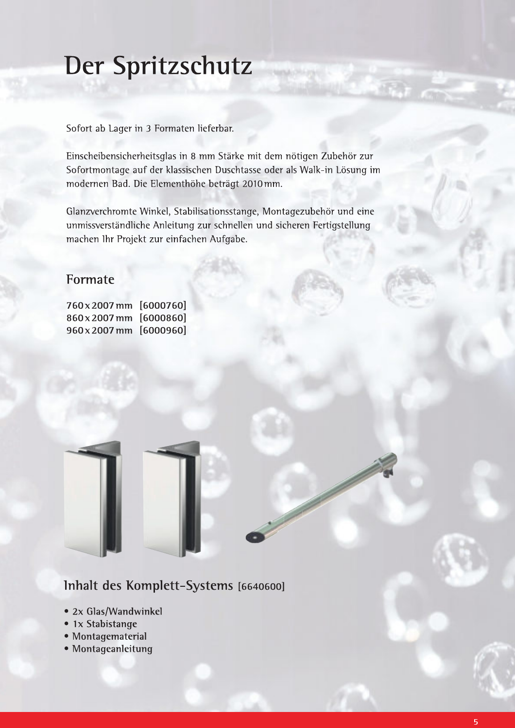# Der Spritzschutz

Sofort ab Lager in 3 Formaten lieferbar.

Einscheibensicherheitsglas in 8 mm Stärke mit dem nötigen Zubehör zur Sofortmontage auf der klassischen Duschtasse oder als Walk-in Lösung im modernen Bad. Die Elementhöhe beträgt 2010mm.

Glanzverchromte Winkel, Stabilisationsstange, Montagezubehör und eine unmissverständliche Anleitung zur schnellen und sicheren Fertigstellung machen Ihr Projekt zur einfachen Aufgabe.

#### Formate

760x2007mm [6000760] 860x2007mm [6000860] 960x2007mm [6000960]

## Inhalt des Komplett-Systems [6640600]

- 2x Glas/Wandwinkel
- 1x Stabistange
- · Montagematerial
- · Montageanleitung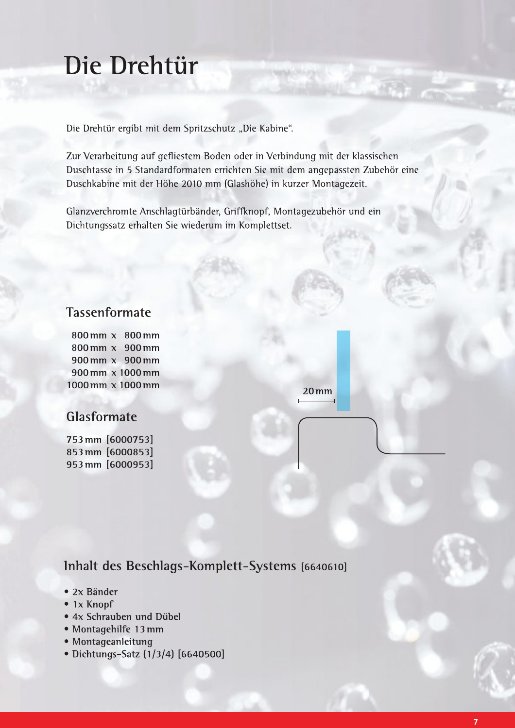# Die Drehtür

Die Drehtür ergibt mit dem Spritzschutz "Die Kabine".

Zur Verarbeitung auf gefliestem Boden oder in Verbindung mit der klassischen Duschtasse in 5 Standardformaten errichten Sie mit dem angepassten Zubehör eine Duschkabine mit der Höhe 2010 mm (Glashöhe) in kurzer Montagezeit.

Glanzverchromte Anschlagtürbänder, Griffknopf, Montagezubehör und ein Dichtungssatz erhalten Sie wiederum im Komplettset.

#### **Tassenformate**

800mm x 800mm 800 mm x 900 mm 900mm x 900mm 900 mm x 1000 mm 1000 mm x 1000 mm

## Glasformate

753 mm [6000753] 853 mm [6000853] 953 mm [6000953]

Inhalt des Beschlags-Komplett-Systems [6640610]

- $2x$  Bänder
- $\bullet$  1x Knopf
- 4x Schrauben und Dübel
- · Montagehilfe 13 mm
- · Montageanleitung
- Dichtungs-Satz (1/3/4) [6640500]

 $20 \,\mathrm{mm}$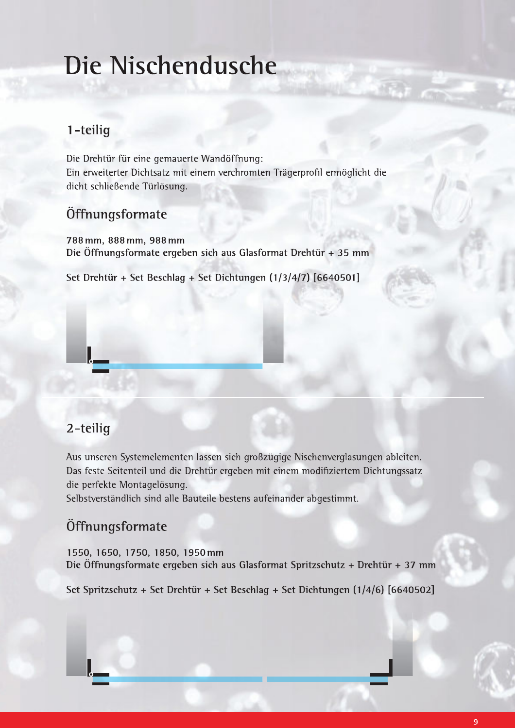# Die Nischendusche

# 1-teilig

1 – teilig<br>
1 – teilig<br>
Die Drehtür für eine gemauerte Wandöffnung:<br>
Ein erweiterter Dichtsatz mit einem verchromten Trägerprofil ermöglicht die<br>
dicht schließende Türlösung.<br>
Öffnungsformate<br>
788 mm, 888 mm, 988 mm<br>
Die Ö

## Öffnungsformate

788 mm, 888 mm, 988 mm Die Öffnungsformate ergeben sich aus Glasformat Drehtür + 35 mm

Set Drehtür + Set Beschlag + Set Dichtungen (1/3/4/7)  $[6640501]$ 

## 2-teilig

**Example 2**<br>
2-teilig<br>
Aus unseren Systemelementen lassen sich großzügige Nischenverglasungen ableiten.<br>
Das feste Seitenteil und die Drehtür ergeben mit einem modifiziertem Dichtungssatz<br>
die perfekte Montagelösung.<br>
Selb

# Öffnungsformate

1550, 1650, 1750, 1850, 1950mm Die Öffnungsformate ergeben sich aus Glasformat Spritzschutz + Drehtür + 37 mm

Set Spritzschutz + Set Drehtür + Set Beschlag + Set Dichtungen (1/4/6) [6640502]